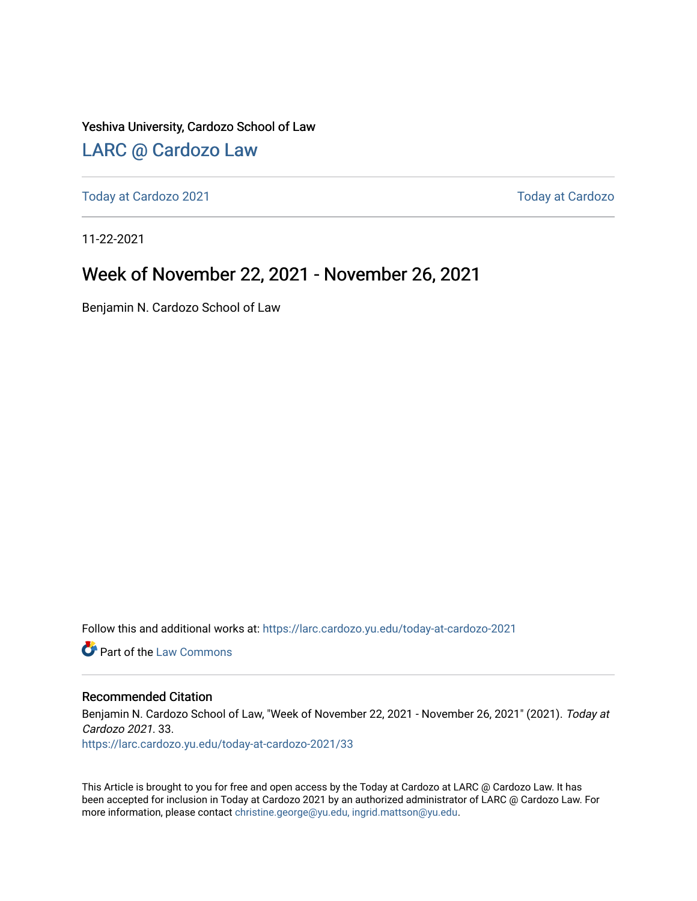Yeshiva University, Cardozo School of Law

### [LARC @ Cardozo Law](https://larc.cardozo.yu.edu/)

[Today at Cardozo 2021](https://larc.cardozo.yu.edu/today-at-cardozo-2021) **Today at Cardozo** 2021

11-22-2021

### Week of November 22, 2021 - November 26, 2021

Benjamin N. Cardozo School of Law

Follow this and additional works at: [https://larc.cardozo.yu.edu/today-at-cardozo-2021](https://larc.cardozo.yu.edu/today-at-cardozo-2021?utm_source=larc.cardozo.yu.edu%2Ftoday-at-cardozo-2021%2F33&utm_medium=PDF&utm_campaign=PDFCoverPages)

**C** Part of the [Law Commons](http://network.bepress.com/hgg/discipline/578?utm_source=larc.cardozo.yu.edu%2Ftoday-at-cardozo-2021%2F33&utm_medium=PDF&utm_campaign=PDFCoverPages)

#### Recommended Citation

Benjamin N. Cardozo School of Law, "Week of November 22, 2021 - November 26, 2021" (2021). Today at Cardozo 2021. 33.

[https://larc.cardozo.yu.edu/today-at-cardozo-2021/33](https://larc.cardozo.yu.edu/today-at-cardozo-2021/33?utm_source=larc.cardozo.yu.edu%2Ftoday-at-cardozo-2021%2F33&utm_medium=PDF&utm_campaign=PDFCoverPages) 

This Article is brought to you for free and open access by the Today at Cardozo at LARC @ Cardozo Law. It has been accepted for inclusion in Today at Cardozo 2021 by an authorized administrator of LARC @ Cardozo Law. For more information, please contact [christine.george@yu.edu, ingrid.mattson@yu.edu](mailto:christine.george@yu.edu,%20ingrid.mattson@yu.edu).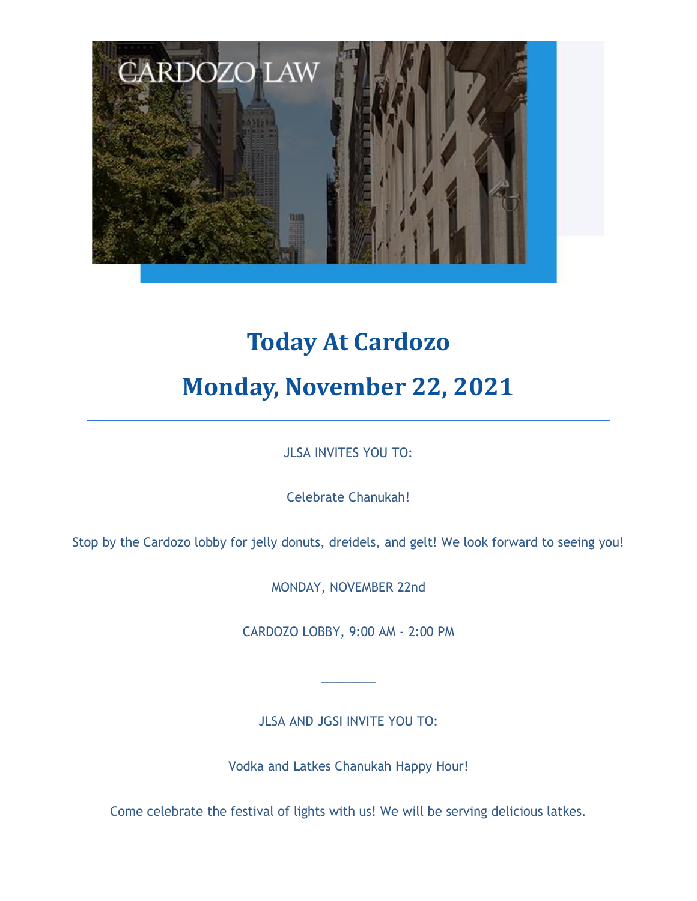

# **Today At Cardozo Monday, November 22, 2021**

JLSA INVITES YOU TO:

Celebrate Chanukah!

Stop by the Cardozo lobby for jelly donuts, dreidels, and gelt! We look forward to seeing you!

MONDAY, NOVEMBER 22nd

CARDOZO LOBBY, 9:00 AM - 2:00 PM

JLSA AND JGSI INVITE YOU TO:

 $\overline{\phantom{a}}$  , where  $\overline{\phantom{a}}$ 

Vodka and Latkes Chanukah Happy Hour!

Come celebrate the festival of lights with us! We will be serving delicious latkes.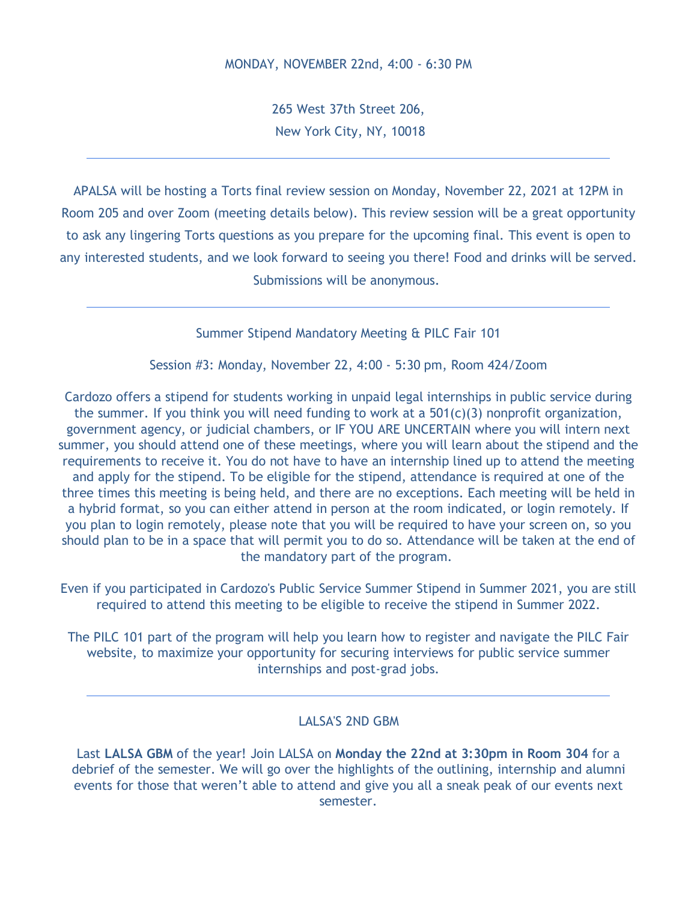265 West 37th Street 206, New York City, NY, 10018

APALSA will be hosting a Torts final review session on Monday, November 22, 2021 at 12PM in Room 205 and over Zoom (meeting details below). This review session will be a great opportunity to ask any lingering Torts questions as you prepare for the upcoming final. This event is open to any interested students, and we look forward to seeing you there! Food and drinks will be served. Submissions will be anonymous.

Summer Stipend Mandatory Meeting & PILC Fair 101

Session #3: Monday, November 22, 4:00 - 5:30 pm, Room 424/Zoom

Cardozo offers a stipend for students working in unpaid legal internships in public service during the summer. If you think you will need funding to work at a  $501(c)(3)$  nonprofit organization, government agency, or judicial chambers, or IF YOU ARE UNCERTAIN where you will intern next summer, you should attend one of these meetings, where you will learn about the stipend and the requirements to receive it. You do not have to have an internship lined up to attend the meeting and apply for the stipend. To be eligible for the stipend, attendance is required at one of the three times this meeting is being held, and there are no exceptions. Each meeting will be held in a hybrid format, so you can either attend in person at the room indicated, or login remotely. If you plan to login remotely, please note that you will be required to have your screen on, so you should plan to be in a space that will permit you to do so. Attendance will be taken at the end of the mandatory part of the program.

Even if you participated in Cardozo's Public Service Summer Stipend in Summer 2021, you are still required to attend this meeting to be eligible to receive the stipend in Summer 2022.

The PILC 101 part of the program will help you learn how to register and navigate the PILC Fair website, to maximize your opportunity for securing interviews for public service summer internships and post-grad jobs.

#### LALSA'S 2ND GBM

Last **LALSA GBM** of the year! Join LALSA on **Monday the 22nd at 3:30pm in Room 304** for a debrief of the semester. We will go over the highlights of the outlining, internship and alumni events for those that weren't able to attend and give you all a sneak peak of our events next semester.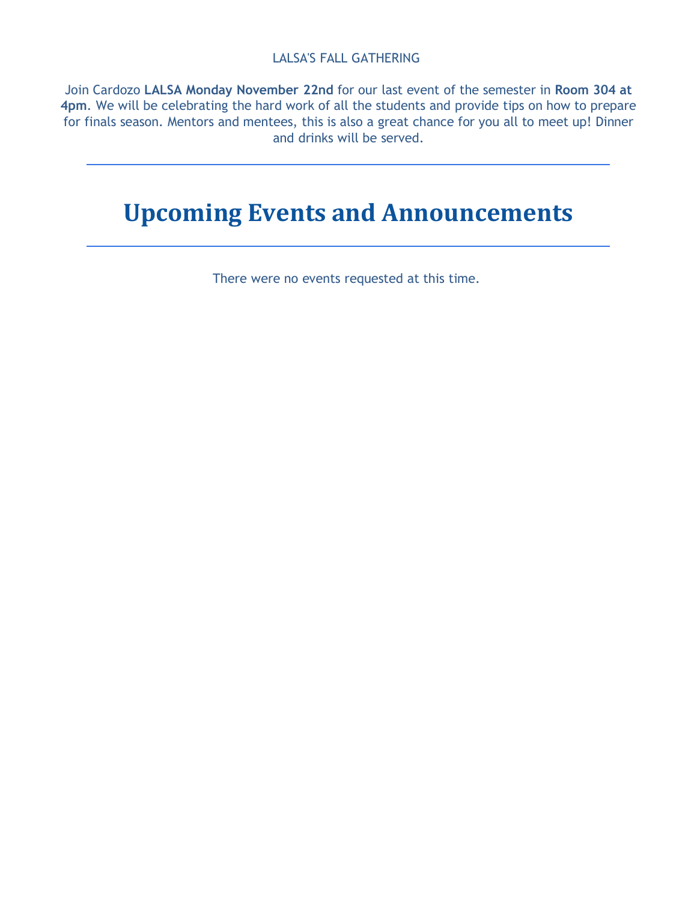#### LALSA'S FALL GATHERING

Join Cardozo **LALSA Monday November 22nd** for our last event of the semester in **Room 304 at 4pm**. We will be celebrating the hard work of all the students and provide tips on how to prepare for finals season. Mentors and mentees, this is also a great chance for you all to meet up! Dinner and drinks will be served.

### **Upcoming Events and Announcements**

There were no events requested at this time.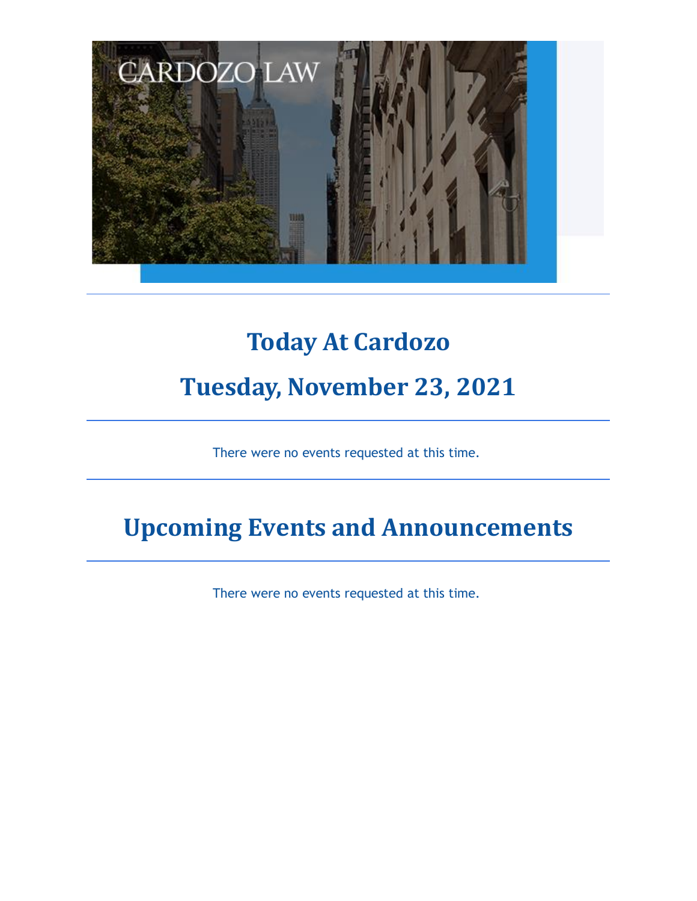

## **Today At Cardozo Tuesday, November 23, 2021**

There were no events requested at this time.

## **Upcoming Events and Announcements**

There were no events requested at this time.